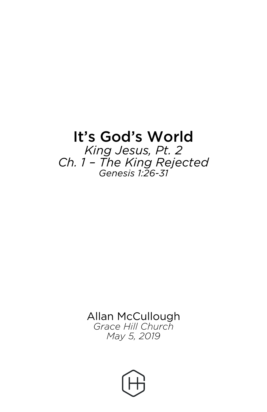## It's God's World

*King Jesus, Pt. 2 Ch. 1 – The King Rejected Genesis 1:26-31*

> Allan McCullough *Grace Hill Church May 5, 2019*

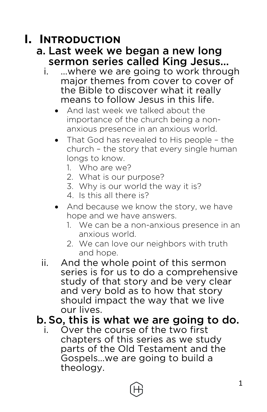## **I. INTRODUCTION**

#### a. Last week we began a new long sermon series called King Jesus…

- i. …where we are going to work through major themes from cover to cover of the Bible to discover what it really means to follow Jesus in this life.
	- And last week we talked about the importance of the church being a nonanxious presence in an anxious world.
	- That God has revealed to His people the church – the story that every single human longs to know.
		- 1. Who are we?
		- 2. What is our purpose?
		- 3. Why is our world the way it is?
		- 4. Is this all there is?
	- And because we know the story, we have hope and we have answers.
		- 1. We can be a non-anxious presence in an anxious world.
		- 2. We can love our neighbors with truth and hope.
- ii. And the whole point of this sermon series is for us to do a comprehensive study of that story and be very clear and very bold as to how that story should impact the way that we live our lives.

#### b. So, this is what we are going to do.

i. Over the course of the two first chapters of this series as we study parts of the Old Testament and the Gospels…we are going to build a theology.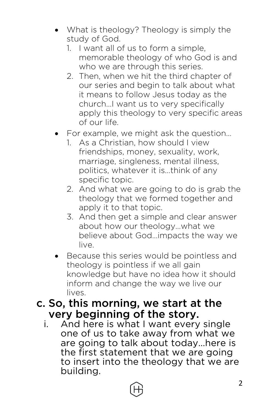- What is theology? Theology is simply the study of God.
	- 1. I want all of us to form a simple, memorable theology of who God is and who we are through this series.
	- 2. Then, when we hit the third chapter of our series and begin to talk about what it means to follow Jesus today as the church…I want us to very specifically apply this theology to very specific areas of our life.
- For example, we might ask the question…
	- 1. As a Christian, how should I view friendships, money, sexuality, work, marriage, singleness, mental illness, politics, whatever it is…think of any specific topic.
	- 2. And what we are going to do is grab the theology that we formed together and apply it to that topic.
	- 3. And then get a simple and clear answer about how our theology…what we believe about God…impacts the way we live.
- Because this series would be pointless and theology is pointless if we all gain knowledge but have no idea how it should inform and change the way we live our lives.

#### c. So, this morning, we start at the very beginning of the story.

i. And here is what I want every single one of us to take away from what we are going to talk about today…here is the first statement that we are going to insert into the theology that we are building.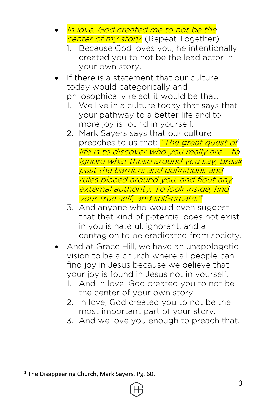- In love, God created me to not be the center of my story. (Repeat Together)
	- 1. Because God loves you, he intentionally created you to not be the lead actor in your own story.
- If there is a statement that our culture today would categorically and philosophically reject it would be that.
	- 1. We live in a culture today that says that your pathway to a better life and to more joy is found in yourself.
	- 2. Mark Sayers says that our culture preaches to us that: "The great quest of life is to discover who you really are – to ignore what those around you say, break past the barriers and definitions and rules placed around you, and flout any external authority. To look inside, find your true self, and self-create."
	- 3. And anyone who would even suggest that that kind of potential does not exist in you is hateful, ignorant, and a contagion to be eradicated from society.
- And at Grace Hill, we have an unapologetic vision to be a church where all people can find joy in Jesus because we believe that your joy is found in Jesus not in yourself.
	- 1. And in love, God created you to not be the center of your own story.
	- 2. In love, God created you to not be the most important part of your story.
	- 3. And we love you enough to preach that.

 $1$  The Disappearing Church, Mark Sayers, Pg. 60.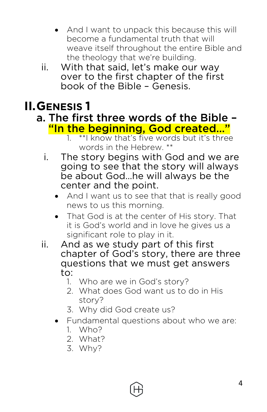- And I want to unpack this because this will become a fundamental truth that will weave itself throughout the entire Bible and the theology that we're building.
- ii. With that said, let's make our way over to the first chapter of the first book of the Bible – Genesis.

## **II.GENESIS 1**

# a. The first three words of the Bible –<br><mark>"In the beginning, God created…"</mark>

- 1. \*\*I know that's five words but it's three words in the Hebrew. \*\*
- i. The story begins with God and we are going to see that the story will always be about God…he will always be the center and the point.
	- And I want us to see that that is really good news to us this morning.
	- That God is at the center of His story. That it is God's world and in love he gives us a significant role to play in it.
- ii. And as we study part of this first chapter of God's story, there are three questions that we must get answers to:
	- 1. Who are we in God's story?
	- 2. What does God want us to do in His story?
	- 3. Why did God create us?
	- Fundamental questions about who we are:
		- 1. Who?
		- 2. What?
		- 3. Why?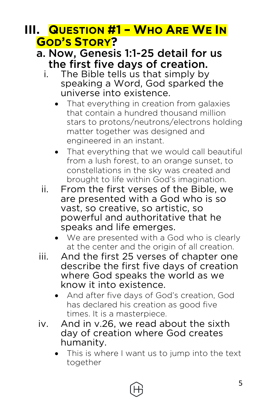## **III. QUESTION #1 – WHO ARE WE IN GOD'S STORY?**

#### a. Now, Genesis 1:1-25 detail for us the first five days of creation.

- i. The Bible tells us that simply by speaking a Word, God sparked the universe into existence.
	- That everything in creation from galaxies that contain a hundred thousand million stars to protons/neutrons/electrons holding matter together was designed and engineered in an instant.
	- That everything that we would call beautiful from a lush forest, to an orange sunset, to constellations in the sky was created and brought to life within God's imagination.
- ii. From the first verses of the Bible, we are presented with a God who is so vast, so creative, so artistic, so powerful and authoritative that he speaks and life emerges.
	- We are presented with a God who is clearly at the center and the origin of all creation.
- iii. And the first 25 verses of chapter one describe the first five days of creation where God speaks the world as we know it into existence.
	- And after five days of God's creation, God has declared his creation as good five times. It is a masterpiece.
- iv. And in v.26, we read about the sixth day of creation where God creates humanity.
	- This is where I want us to jump into the text together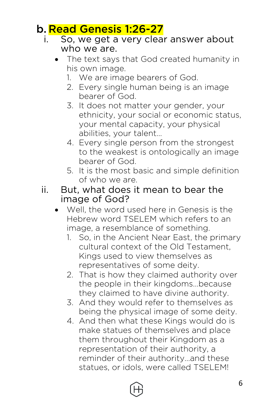#### b. Read Genesis 1:26-27

- i. So, we get a very clear answer about who we are.
	- The text says that God created humanity in his own image.
		- 1. We are image bearers of God.
		- 2. Every single human being is an image bearer of God.
		- 3. It does not matter your gender, your ethnicity, your social or economic status, your mental capacity, your physical abilities, your talent…
		- 4. Every single person from the strongest to the weakest is ontologically an image bearer of God.
		- 5. It is the most basic and simple definition of who we are.
- ii. But, what does it mean to bear the image of God?
	- Well, the word used here in Genesis is the Hebrew word TSELEM which refers to an image, a resemblance of something.
		- 1. So, in the Ancient Near East, the primary cultural context of the Old Testament, Kings used to view themselves as representatives of some deity.
		- 2. That is how they claimed authority over the people in their kingdoms…because they claimed to have divine authority.
		- 3. And they would refer to themselves as being the physical image of some deity.
		- 4. And then what these Kings would do is make statues of themselves and place them throughout their Kingdom as a representation of their authority, a reminder of their authority…and these statues, or idols, were called TSELEM!

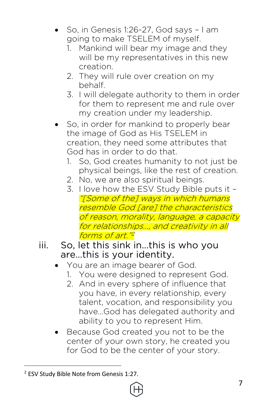- So, in Genesis 1:26-27, God says I am going to make TSELEM of myself.
	- 1. Mankind will bear my image and they will be my representatives in this new creation.
	- 2. They will rule over creation on my behalf.
	- 3. I will delegate authority to them in order for them to represent me and rule over my creation under my leadership.
- So, in order for mankind to properly bear the image of God as His TSELEM in creation, they need some attributes that God has in order to do that.
	- 1. So, God creates humanity to not just be physical beings, like the rest of creation.
	- 2. No, we are also spiritual beings.
	- 3. I love how the ESV Study Bible puts it "[Some of the] ways in which humans resemble God [are] the characteristics of reason, morality, language, a capacity for relationships…, and creativity in all forms of art."<sup>2</sup>
- iii. So, let this sink in…this is who you are…this is your identity.
	- You are an image bearer of God.
		- 1. You were designed to represent God.
		- 2. And in every sphere of influence that you have, in every relationship, every talent, vocation, and responsibility you have…God has delegated authority and ability to you to represent Him.
	- Because God created you not to be the center of your own story, he created you for God to be the center of your story.

 <sup>2</sup> ESV Study Bible Note from Genesis 1:27.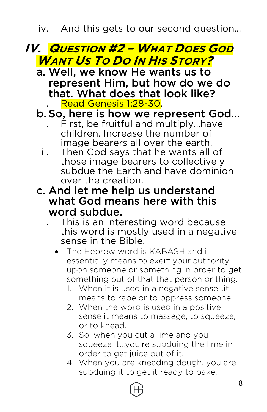iv. And this gets to our second question…

## **IV. QUESTION #2 – WHAT DOES GOD WANT US TO DO IN HIS STORY?**

- a. Well, we know He wants us to represent Him, but how do we do that. What does that look like?
	- i. Read Genesis 1:28-30.
- b. So, here is how we represent God…
	- i. First, be fruitful and multiply…have children. Increase the number of image bearers all over the earth.
	- ii. Then God says that he wants all of those image bearers to collectively subdue the Earth and have dominion over the creation.
- c. And let me help us understand what God means here with this word subdue.
	- i. This is an interesting word because this word is mostly used in a negative sense in the Bible.
		- The Hebrew word is KABASH and it essentially means to exert your authority upon someone or something in order to get something out of that that person or thing.
			- 1. When it is used in a negative sense…it means to rape or to oppress someone.
			- 2. When the word is used in a positive sense it means to massage, to squeeze, or to knead.
			- 3. So, when you cut a lime and you squeeze it…you're subduing the lime in order to get juice out of it.
			- 4. When you are kneading dough, you are subduing it to get it ready to bake.

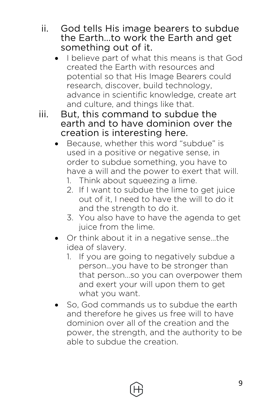- ii. God tells His image bearers to subdue the Earth…to work the Earth and get something out of it.
	- I believe part of what this means is that God created the Earth with resources and potential so that His Image Bearers could research, discover, build technology, advance in scientific knowledge, create art and culture, and things like that.
- iii. But, this command to subdue the earth and to have dominion over the creation is interesting here.
	- Because, whether this word "subdue" is used in a positive or negative sense, in order to subdue something, you have to have a will and the power to exert that will.
		- 1. Think about squeezing a lime.
		- 2. If I want to subdue the lime to get juice out of it, I need to have the will to do it and the strength to do it.
		- 3. You also have to have the agenda to get juice from the lime.
	- Or think about it in a negative sense…the idea of slavery.
		- 1. If you are going to negatively subdue a person…you have to be stronger than that person…so you can overpower them and exert your will upon them to get what you want.
	- So, God commands us to subdue the earth and therefore he gives us free will to have dominion over all of the creation and the power, the strength, and the authority to be able to subdue the creation.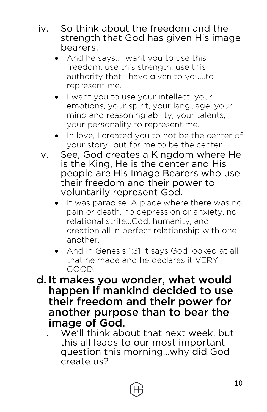- iv. So think about the freedom and the strength that God has given His image bearers.
	- And he says…I want you to use this freedom, use this strength, use this authority that I have given to you…to represent me.
	- I want you to use your intellect, your emotions, your spirit, your language, your mind and reasoning ability, your talents, your personality to represent me.
	- In love, I created you to not be the center of your story…but for me to be the center.
	- v. See, God creates a Kingdom where He is the King, He is the center and His people are His Image Bearers who use their freedom and their power to voluntarily represent God.
		- It was paradise. A place where there was no pain or death, no depression or anxiety, no relational strife…God, humanity, and creation all in perfect relationship with one another.
		- And in Genesis 1:31 it says God looked at all that he made and he declares it VERY GOOD.
- d. It makes you wonder, what would happen if mankind decided to use their freedom and their power for another purpose than to bear the image of God.
	- i. We'll think about that next week, but this all leads to our most important question this morning…why did God create us?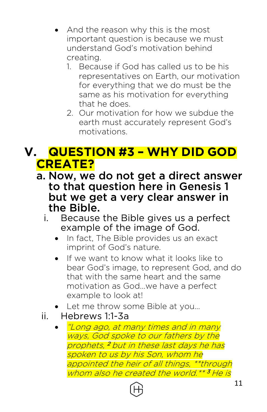- And the reason why this is the most important question is because we must understand God's motivation behind creating.
	- 1. Because if God has called us to be his representatives on Earth, our motivation for everything that we do must be the same as his motivation for everything that he does.
	- 2. Our motivation for how we subdue the earth must accurately represent God's motivations.

## **V. QUESTION #3 – WHY DID GOD CREATE?**

- a. Now, we do not get a direct answer to that question here in Genesis 1 but we get a very clear answer in the Bible.
	- i. Because the Bible gives us a perfect example of the image of God.
		- In fact, The Bible provides us an exact imprint of God's nature.
		- If we want to know what it looks like to bear God's image, to represent God, and do that with the same heart and the same motivation as God…we have a perfect example to look at!
		- Let me throw some Bible at you...
	- ii. Hebrews 1:1-3a
		- "Long ago, at many times and in many ways, God spoke to our fathers by the prophets, <sup>2</sup> but in these last days he has spoken to us by his Son, whom he appointed the heir of all things, \*\*through whom also he created the world.\*\* <sup>3</sup> He is

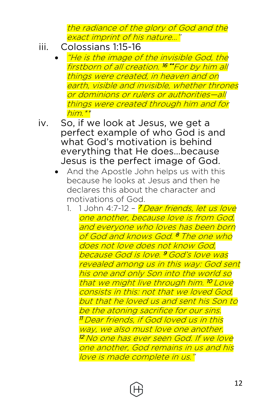the radiance of the glory of God and the exact imprint of his nature…"

- iii. Colossians 1:15-16
	- "He is the image of the invisible God, the firstborn of all creation. <sup>16</sup> \*\*For by him all things were created, in heaven and on earth, visible and invisible, whether thrones or dominions or rulers or authorities—all things were created through him and for him.\*\*
- iv. So, if we look at Jesus, we get a perfect example of who God is and what God's motivation is behind everything that He does…because Jesus is the perfect image of God.
	- And the Apostle John helps us with this because he looks at Jesus and then he declares this about the character and motivations of God.
		- 1. 1 John 4:7-12 <mark>7 Dear frien*ds, let us love*</mark> one another, because love is from God, and everyone who loves has been born of God and knows God. <sup>8</sup> The one who does not love does not know God, because God is love. <sup>9</sup> God's love was revealed among us in this way: God sent his one and only Son into the world so that we might live through him. <sup>10</sup> Love consists in this: not that we loved God, but that he loved us and sent his Son to be the atoning sacrifice for our sins. 11 Dear friends, if God loved us in this way, we also must love one another. <sup>12</sup> No one has ever seen God. If we love one another, God remains in us and his love is made complete in us."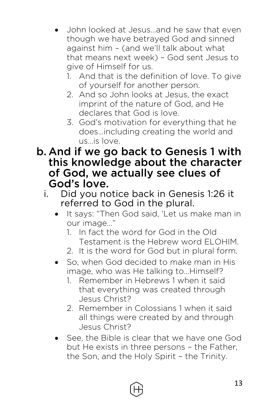- John looked at Jesus…and he saw that even though we have betrayed God and sinned against him – (and we'll talk about what that means next week) – God sent Jesus to give of Himself for us.
	- 1. And that is the definition of love. To give of yourself for another person.
	- 2. And so John looks at Jesus, the exact imprint of the nature of God, and He declares that God is love.
	- 3. God's motivation for everything that he does…including creating the world and us…is love.
- b. And if we go back to Genesis 1 with this knowledge about the character of God, we actually see clues of God's love.
	- i. Did you notice back in Genesis 1:26 it referred to God in the plural.
		- It says: "Then God said, 'Let us make man in our image…"
			- 1. In fact the word for God in the Old Testament is the Hebrew word ELOHIM.
			- 2. It is the word for God but in plural form.
		- So, when God decided to make man in His image, who was He talking to…Himself?
			- 1. Remember in Hebrews 1 when it said that everything was created through Jesus Christ?
			- 2. Remember in Colossians 1 when it said all things were created by and through Jesus Christ?
		- See, the Bible is clear that we have one God but He exists in three persons – the Father, the Son, and the Holy Spirit – the Trinity.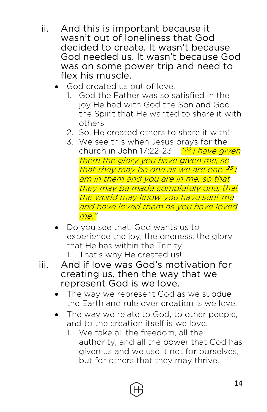- ii. And this is important because it wasn't out of loneliness that God decided to create. It wasn't because God needed us. It wasn't because God was on some power trip and need to flex his muscle.
	- God created us out of love.
		- 1. God the Father was so satisfied in the joy He had with God the Son and God the Spirit that He wanted to share it with others.
		- 2. So, He created others to share it with!
		- 3. We see this when Jesus prays for the church in John 17:22-23 – <mark>"<sup>22</sup> I *have given*</mark> them the glory you have given me, so that they may be one as we are one. <sup>23</sup> l am in them and you are in me, so that they may be made completely one, that the world may know you have sent me and have loved them as you have loved me."
	- Do you see that. God wants us to experience the joy, the oneness, the glory that He has within the Trinity!
		- 1. That's why He created us!
- iii. And if love was God's motivation for creating us, then the way that we represent God is we love.
	- The way we represent God as we subdue the Earth and rule over creation is we love.
	- The way we relate to God, to other people, and to the creation itself is we love.
		- 1. We take all the freedom, all the authority, and all the power that God has given us and we use it not for ourselves, but for others that they may thrive.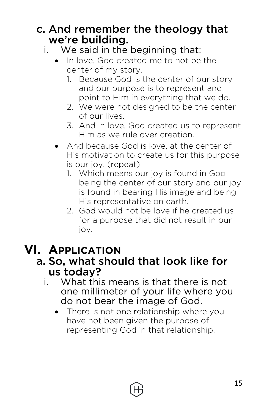#### c. And remember the theology that we're building.

- i. We said in the beginning that:
	- In love, God created me to not be the center of my story.
		- 1. Because God is the center of our story and our purpose is to represent and point to Him in everything that we do.
		- 2. We were not designed to be the center of our lives.
		- 3. And in love, God created us to represent Him as we rule over creation.
	- And because God is love, at the center of His motivation to create us for this purpose is our joy. (repeat)
		- 1. Which means our joy is found in God being the center of our story and our joy is found in bearing His image and being His representative on earth.
		- 2. God would not be love if he created us for a purpose that did not result in our joy.

## **VI. APPLICATION**

#### a. So, what should that look like for us today?

- i. What this means is that there is not one millimeter of your life where you do not bear the image of God.
	- There is not one relationship where you have not been given the purpose of representing God in that relationship.